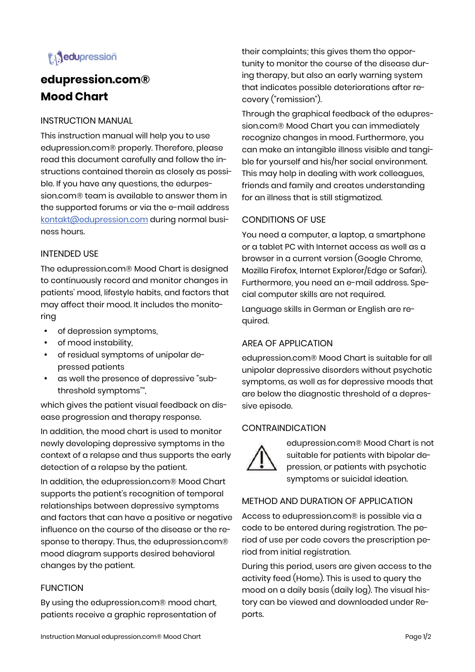

# **edupression.com® Mood Chart**

## INSTRUCTION MANUAL

This instruction manual will help you to use edupression.com® properly. Therefore, please read this document carefully and follow the instructions contained therein as closely as possible. If you have any questions, the edurpession.com® team is available to answer them in the supported forums or via the e-mail address kontakt@edupression.com during normal business hours.

## INTENDED USE

The edupression.com® Mood Chart is designed to continuously record and monitor changes in patients' mood, lifestyle habits, and factors that may affect their mood. It includes the monitoring

- of depression symptoms,
- of mood instability,
- of residual symptoms of unipolar depressed patients
- as well the presence of depressive "subthreshold symptoms"",

which gives the patient visual feedback on disease progression and therapy response.

In addition, the mood chart is used to monitor newly developing depressive symptoms in the context of a relapse and thus supports the early detection of a relapse by the patient.

In addition, the edupression.com® Mood Chart supports the patient's recognition of temporal relationships between depressive symptoms and factors that can have a positive or negative influence on the course of the disease or the response to therapy. Thus, the edupression.com® mood diagram supports desired behavioral changes by the patient.

## **FUNCTION**

By using the edupression.com® mood chart, patients receive a graphic representation of their complaints; this gives them the opportunity to monitor the course of the disease during therapy, but also an early warning system that indicates possible deteriorations after recovery ("remission").

Through the graphical feedback of the edupression.com® Mood Chart you can immediately recognize changes in mood. Furthermore, you can make an intangible illness visible and tangible for yourself and his/her social environment. This may help in dealing with work colleagues, friends and family and creates understanding for an illness that is still stigmatized.

## CONDITIONS OF USE

You need a computer, a laptop, a smartphone or a tablet PC with Internet access as well as a browser in a current version (Google Chrome, Mozilla Firefox, Internet Explorer/Edge or Safari). Furthermore, you need an e-mail address. Special computer skills are not required.

Language skills in German or English are required.

# AREA OF APPLICATION

edupression.com® Mood Chart is suitable for all unipolar depressive disorders without psychotic symptoms, as well as for depressive moods that are below the diagnostic threshold of a depressive episode.

## **CONTRAINDICATION**



edupression.com® Mood Chart is not suitable for patients with bipolar depression, or patients with psychotic symptoms or suicidal ideation.

# METHOD AND DURATION OF APPLICATION

Access to edupression.com® is possible via a code to be entered during registration. The period of use per code covers the prescription period from initial registration.

During this period, users are given access to the activity feed (Home). This is used to query the mood on a daily basis (daily log). The visual history can be viewed and downloaded under Reports.